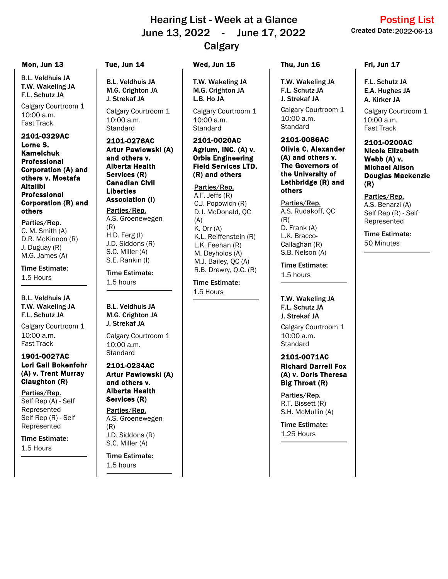# June 13, 2022 - June 17, 2022 Created Date: Hearing List - Week at a Glance **Calgary**

B.L. Veldhuis JA T.W. Wakeling JA F.L. Schutz JA

10:00 a.m. Calgary Courtroom 1 Fast Track

2101-0329AC Lorne S. Kamelchuk Professional Corporation (A) and others v. Mostafa Altalibi Professional Corporation (R) and others

C. M. Smith (A) D.R. McKinnon (R) J. Duguay (R) M.G. James (A) Parties/Rep.

Time Estimate: 1.5 Hours

B.L. Veldhuis JA T.W. Wakeling JA F.L. Schutz JA

10:00 a.m. Calgary Courtroom 1 Fast Track

### 1901-0027AC Lori Gail Bokenfohr (A) v. Trent Murray Claughton (R)

Self Rep (A) - Self Represented Self Rep (R) - Self Represented Parties/Rep.

Time Estimate: 1.5 Hours

B.L. Veldhuis JA M.G. Crighton JA J. Strekaf JA

Calgary Courtroom 1 **Standard** 10:00 a.m.

2101-0276AC Artur Pawlowski (A) and others v. Alberta Health Services (R) Canadian Civil Liberties Association (I)

A.S. Groenewegen (R) H.D. Ferg (I) J.D. Siddons (R) S.C. Miller (A) S.E. Rankin (I) Parties/Rep.

Time Estimate: 1.5 hours

B.L. Veldhuis JA M.G. Crighton JA J. Strekaf JA

Calgary Courtroom 1 **Standard** 10:00 a.m.

# Artur Pawlowski (A) and others v. Alberta Health Services (R)

A.S. Groenewegen (R) J.D. Siddons (R) S.C. Miller (A) Parties/Rep.

Time Estimate: 1.5 hours

## Mon, Jun 13 Tue, Jun 14 Wed, Jun 15 Thu, Jun 16 Fri, Jun 17

T.W. Wakeling JA M.G. Crighton JA L.B. Ho JA

Calgary Courtroom 1 **Standard** 10:00 a.m.

### 2101-0020AC Agrium, INC. (A) v. Orbis Engineering Field Services LTD. (R) and others

Parties/Rep. A.F. Jeffs (R) C.J. Popowich (R) D.J. McDonald, QC  $(A)$ K. Orr (A) K.L. Reiffenstein (R) L.K. Feehan (R) M. Deyholos (A) M.J. Bailey, QC (A)  $R.B.$  Drewry, Q.C.  $(R)$  **Time Estimate:** 

Time Estimate: 1.5 Hours

10:00 a.m. T.W. Wakeling JA F.L. Schutz JA J. Strekaf JA Calgary Courtroom 1 Standard

2101-0086AC Olivia C. Alexander (A) and others v. The Governors of the University of Lethbridge (R) and others

Parties/Rep. A.S. Rudakoff, QC (R) D. Frank (A) L.K. Bracco-Callaghan (R) S.B. Nelson (A)

1.5 hours

T.W. Wakeling JA F.L. Schutz JA J. Strekaf JA

10:00 a.m. Calgary Courtroom 1 **Standard** 

### 2101-0071AC Richard Darrell Fox (A) v. Doris Theresa Big Throat (R)

Parties/Rep. R.T. Bissett (R) S.H. McMullin (A)

Time Estimate: 1.25 Hours

F.L. Schutz JA E.A. Hughes JA A. Kirker JA

10:00 a.m. Calgary Courtroom 1 Fast Track

### 2101-0200AC Nicole Elizabeth Webb (A) v. Michael Alison Douglas Mackenzie (R)

Parties/Rep. A.S. Benarzi (A) Self Rep (R) - Self

Time Estimate: 50 Minutes

Represented

2101-0234AC